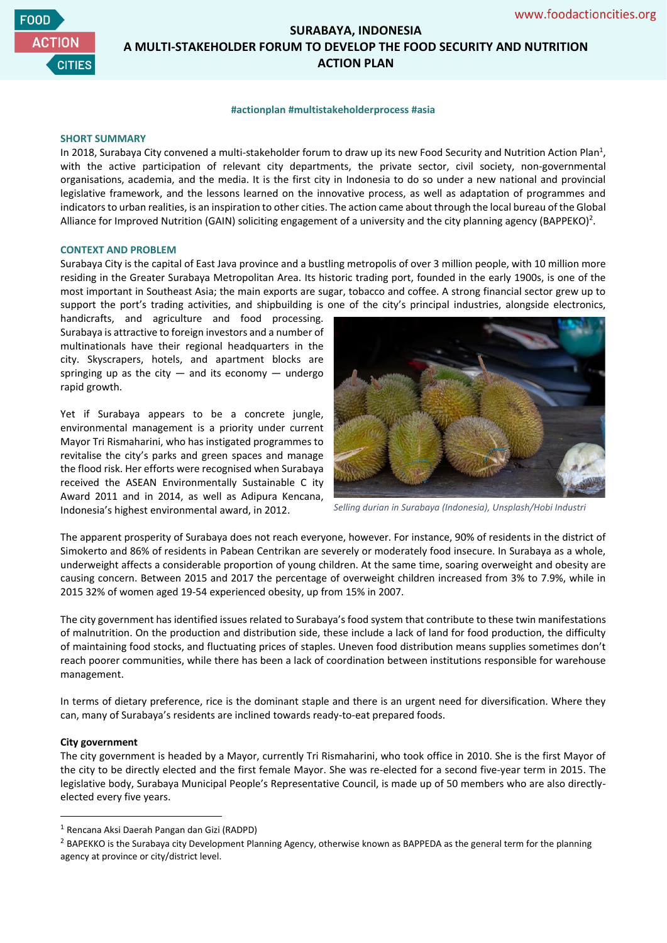

# **SURABAYA, INDONESIA A MULTI-STAKEHOLDER FORUM TO DEVELOP THE FOOD SECURITY AND NUTRITION ACTION PLAN**

### **#actionplan #multistakeholderprocess #asia**

### **SHORT SUMMARY**

In 2018, Surabaya City convened a multi-stakeholder forum to draw up its new Food Security and Nutrition Action Plan<sup>1</sup>, with the active participation of relevant city departments, the private sector, civil society, non-governmental organisations, academia, and the media. It is the first city in Indonesia to do so under a new national and provincial legislative framework, and the lessons learned on the innovative process, as well as adaptation of programmes and indicators to urban realities, is an inspiration to other cities. The action came about through the local bureau of the Global Alliance for Improved Nutrition (GAIN) soliciting engagement of a university and the city planning agency (BAPPEKO)<sup>2</sup>.

# **CONTEXT AND PROBLEM**

Surabaya City is the capital of East Java province and a bustling metropolis of over 3 million people, with 10 million more residing in the Greater Surabaya Metropolitan Area. Its historic trading port, founded in the early 1900s, is one of the most important in Southeast Asia; the main exports are sugar, tobacco and coffee. A strong financial sector grew up to support the port's trading activities, and shipbuilding is one of the city's principal industries, alongside electronics,

handicrafts, and agriculture and food processing. Surabaya is attractive to foreign investors and a number of multinationals have their regional headquarters in the city. Skyscrapers, hotels, and apartment blocks are springing up as the city  $-$  and its economy  $-$  undergo rapid growth.

Yet if Surabaya appears to be a concrete jungle, environmental management is a priority under current Mayor Tri Rismaharini, who has instigated programmes to revitalise the city's parks and green spaces and manage the flood risk. Her efforts were recognised when Surabaya received the ASEAN Environmentally Sustainable C ity Award 2011 and in 2014, as well as Adipura Kencana, Indonesia's highest environmental award, in 2012.



*Selling durian in Surabaya (Indonesia), Unsplash/Hobi Industri*

The apparent prosperity of Surabaya does not reach everyone, however. For instance, 90% of residents in the district of Simokerto and 86% of residents in Pabean Centrikan are severely or moderately food insecure. In Surabaya as a whole, underweight affects a considerable proportion of young children. At the same time, soaring overweight and obesity are causing concern. Between 2015 and 2017 the percentage of overweight children increased from 3% to 7.9%, while in 2015 32% of women aged 19-54 experienced obesity, up from 15% in 2007.

The city government has identified issues related to Surabaya's food system that contribute to these twin manifestations of malnutrition. On the production and distribution side, these include a lack of land for food production, the difficulty of maintaining food stocks, and fluctuating prices of staples. Uneven food distribution means supplies sometimes don't reach poorer communities, while there has been a lack of coordination between institutions responsible for warehouse management.

In terms of dietary preference, rice is the dominant staple and there is an urgent need for diversification. Where they can, many of Surabaya's residents are inclined towards ready-to-eat prepared foods.

### **City government**

The city government is headed by a Mayor, currently Tri Rismaharini, who took office in 2010. She is the first Mayor of the city to be directly elected and the first female Mayor. She was re-elected for a second five-year term in 2015. The legislative body, Surabaya Municipal People's Representative Council, is made up of 50 members who are also directlyelected every five years.

<sup>1</sup> Rencana Aksi Daerah Pangan dan Gizi (RADPD)

<sup>&</sup>lt;sup>2</sup> BAPEKKO is the Surabaya city Development Planning Agency, otherwise known as BAPPEDA as the general term for the planning agency at province or city/district level.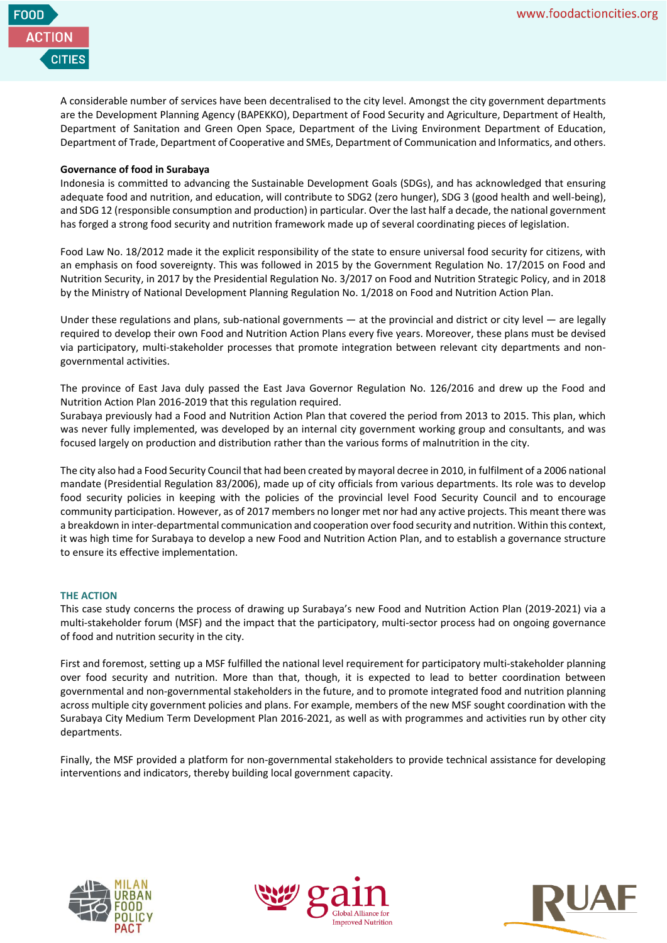

A considerable number of services have been decentralised to the city level. Amongst the city government departments are the Development Planning Agency (BAPEKKO), Department of Food Security and Agriculture, Department of Health, Department of Sanitation and Green Open Space, Department of the Living Environment Department of Education, Department of Trade, Department of Cooperative and SMEs, Department of Communication and Informatics, and others.

# **Governance of food in Surabaya**

Indonesia is committed to advancing the Sustainable Development Goals (SDGs), and has acknowledged that ensuring adequate food and nutrition, and education, will contribute to SDG2 (zero hunger), SDG 3 (good health and well-being), and SDG 12 (responsible consumption and production) in particular. Over the last half a decade, the national government has forged a strong food security and nutrition framework made up of several coordinating pieces of legislation.

Food Law No. 18/2012 made it the explicit responsibility of the state to ensure universal food security for citizens, with an emphasis on food sovereignty. This was followed in 2015 by the Government Regulation No. 17/2015 on Food and Nutrition Security, in 2017 by the Presidential Regulation No. 3/2017 on Food and Nutrition Strategic Policy, and in 2018 by the Ministry of National Development Planning Regulation No. 1/2018 on Food and Nutrition Action Plan.

Under these regulations and plans, sub-national governments — at the provincial and district or city level — are legally required to develop their own Food and Nutrition Action Plans every five years. Moreover, these plans must be devised via participatory, multi-stakeholder processes that promote integration between relevant city departments and nongovernmental activities.

The province of East Java duly passed the East Java Governor Regulation No. 126/2016 and drew up the Food and Nutrition Action Plan 2016-2019 that this regulation required.

Surabaya previously had a Food and Nutrition Action Plan that covered the period from 2013 to 2015. This plan, which was never fully implemented, was developed by an internal city government working group and consultants, and was focused largely on production and distribution rather than the various forms of malnutrition in the city.

The city also had a Food Security Council that had been created by mayoral decree in 2010, in fulfilment of a 2006 national mandate (Presidential Regulation 83/2006), made up of city officials from various departments. Its role was to develop food security policies in keeping with the policies of the provincial level Food Security Council and to encourage community participation. However, as of 2017 members no longer met nor had any active projects. This meant there was a breakdown in inter-departmental communication and cooperation over food security and nutrition. Within this context, it was high time for Surabaya to develop a new Food and Nutrition Action Plan, and to establish a governance structure to ensure its effective implementation.

# **THE ACTION**

This case study concerns the process of drawing up Surabaya's new Food and Nutrition Action Plan (2019-2021) via a multi-stakeholder forum (MSF) and the impact that the participatory, multi-sector process had on ongoing governance of food and nutrition security in the city.

First and foremost, setting up a MSF fulfilled the national level requirement for participatory multi-stakeholder planning over food security and nutrition. More than that, though, it is expected to lead to better coordination between governmental and non-governmental stakeholders in the future, and to promote integrated food and nutrition planning across multiple city government policies and plans. For example, members of the new MSF sought coordination with the Surabaya City Medium Term Development Plan 2016-2021, as well as with programmes and activities run by other city departments.

Finally, the MSF provided a platform for non-governmental stakeholders to provide technical assistance for developing interventions and indicators, thereby building local government capacity.





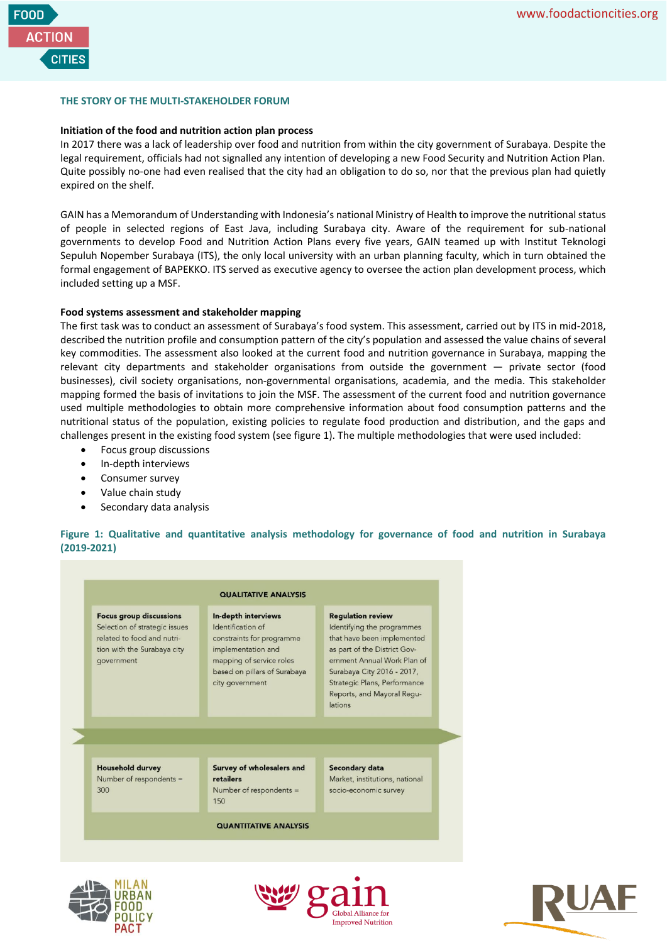

# **THE STORY OF THE MULTI-STAKEHOLDER FORUM**

### **Initiation of the food and nutrition action plan process**

In 2017 there was a lack of leadership over food and nutrition from within the city government of Surabaya. Despite the legal requirement, officials had not signalled any intention of developing a new Food Security and Nutrition Action Plan. Quite possibly no-one had even realised that the city had an obligation to do so, nor that the previous plan had quietly expired on the shelf.

GAIN has a Memorandum of Understanding with Indonesia's national Ministry of Health to improve the nutritional status of people in selected regions of East Java, including Surabaya city. Aware of the requirement for sub-national governments to develop Food and Nutrition Action Plans every five years, GAIN teamed up with Institut Teknologi Sepuluh Nopember Surabaya (ITS), the only local university with an urban planning faculty, which in turn obtained the formal engagement of BAPEKKO. ITS served as executive agency to oversee the action plan development process, which included setting up a MSF.

### **Food systems assessment and stakeholder mapping**

The first task was to conduct an assessment of Surabaya's food system. This assessment, carried out by ITS in mid-2018, described the nutrition profile and consumption pattern of the city's population and assessed the value chains of several key commodities. The assessment also looked at the current food and nutrition governance in Surabaya, mapping the relevant city departments and stakeholder organisations from outside the government — private sector (food businesses), civil society organisations, non-governmental organisations, academia, and the media. This stakeholder mapping formed the basis of invitations to join the MSF. The assessment of the current food and nutrition governance used multiple methodologies to obtain more comprehensive information about food consumption patterns and the nutritional status of the population, existing policies to regulate food production and distribution, and the gaps and challenges present in the existing food system (see figure 1). The multiple methodologies that were used included:

- Focus group discussions
- In-depth interviews
- Consumer survey
- Value chain study
- Secondary data analysis

**Figure 1: Qualitative and quantitative analysis methodology for governance of food and nutrition in Surabaya (2019-2021)**

#### **QUALITATIVE ANALYSIS Focus group discussions** In-depth interviews **Regulation review** Selection of strategic issues Identification of Identifying the programmes related to food and nutriconstraints for programme that have been implemented tion with the Surabaya city implementation and as part of the District Govcovernment mapping of service roles ernment Annual Work Plan of based on pillars of Surabaya Surabaya City 2016 - 2017, Strategic Plans, Performance city government Reports, and Mayoral Regulations **Household durvey** Secondary data Survey of wholesalers and Number of respondents = retailers Market, institutions, national 300 Number of respondents = socio-economic survey 150 **QUANTITATIVE ANALYSIS**





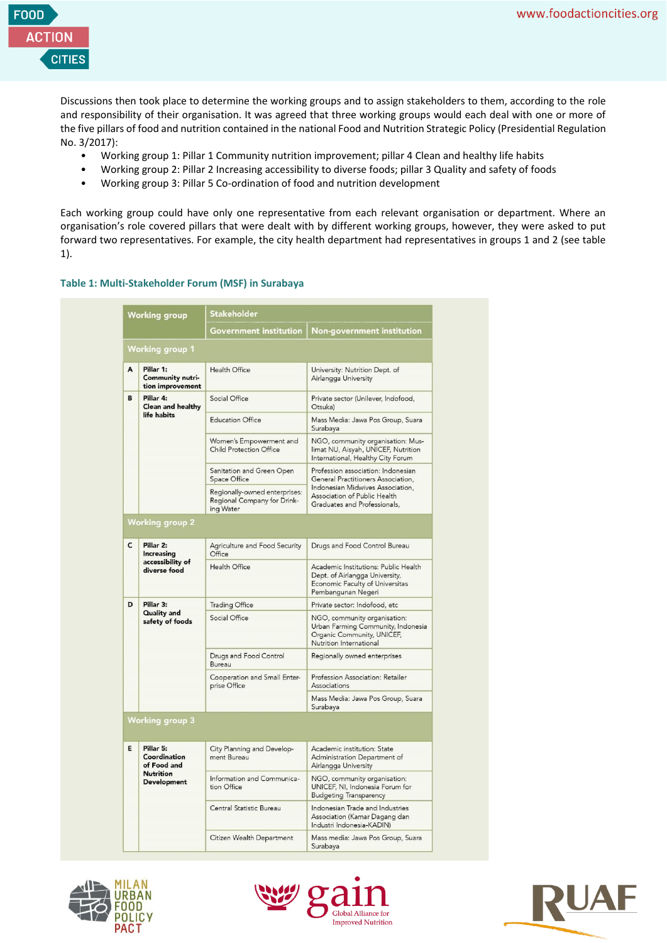

Discussions then took place to determine the working groups and to assign stakeholders to them, according to the role and responsibility of their organisation. It was agreed that three working groups would each deal with one or more of the five pillars of food and nutrition contained in the national Food and Nutrition Strategic Policy (Presidential Regulation No. 3/2017):

- Working group 1: Pillar 1 Community nutrition improvement; pillar 4 Clean and healthy life habits
- Working group 2: Pillar 2 Increasing accessibility to diverse foods; pillar 3 Quality and safety of foods
- Working group 3: Pillar 5 Co-ordination of food and nutrition development

Each working group could have only one representative from each relevant organisation or department. Where an organisation's role covered pillars that were dealt with by different working groups, however, they were asked to put forward two representatives. For example, the city health department had representatives in groups 1 and 2 (see table 1).

# **Table 1: Multi-Stakeholder Forum (MSF) in Surabaya**

| <b>Working group</b> |                                                                                    | Stakeholder                                                               |                                                                                                                                                                              |
|----------------------|------------------------------------------------------------------------------------|---------------------------------------------------------------------------|------------------------------------------------------------------------------------------------------------------------------------------------------------------------------|
|                      |                                                                                    | Government institution                                                    | <b>Non-government institution</b>                                                                                                                                            |
|                      | <b>Working group 1</b>                                                             |                                                                           |                                                                                                                                                                              |
| A                    | Pillar 1:<br>Community nutri-<br>tion improvement                                  | <b>Health Office</b>                                                      | University: Nutrition Dept. of<br>Airlangga University                                                                                                                       |
| B                    | Pillar 4:<br><b>Clean and healthy</b><br>life habits                               | Social Office                                                             | Private sector (Unilever, Indofood,<br>Otsuka)                                                                                                                               |
|                      |                                                                                    | <b>Education Office</b>                                                   | Mass Media: Jawa Pos Group, Suara<br>Surabaya                                                                                                                                |
|                      |                                                                                    | Women's Empowerment and<br><b>Child Protection Office</b>                 | NGO, community organisation: Mus-<br>limat NU, Aisyah, UNICEF, Nutrition<br>International, Healthy City Forum                                                                |
|                      |                                                                                    | Sanitation and Green Open<br>Space Office                                 | Profession association: Indonesian<br>General Practitioners Association,<br>Indonesian Midwives Association,<br>Association of Public Health<br>Graduates and Professionals, |
|                      |                                                                                    | Regionally-owned enterprises:<br>Regional Company for Drink-<br>ing Water |                                                                                                                                                                              |
|                      | <b>Working group 2</b>                                                             |                                                                           |                                                                                                                                                                              |
| C                    | Pillar 2:<br><b>Increasing</b><br>accessibility of<br>diverse food                 | Agriculture and Food Security<br>Office                                   | Drugs and Food Control Bureau                                                                                                                                                |
|                      |                                                                                    | Health Office                                                             | Academic Institutions: Public Health<br>Dept. of Airlangga University,<br>Economic Faculty of Universitas<br>Pembangunan Negeri                                              |
| D                    | Pillar 3:<br>Quality and<br>safety of foods                                        | <b>Trading Office</b>                                                     | Private sector: Indofood, etc                                                                                                                                                |
|                      |                                                                                    | Social Office                                                             | NGO, community organisation:<br>Urban Farming Community, Indonesia<br>Organic Community, UNICEF,<br>Nutrition International                                                  |
|                      |                                                                                    | Drugs and Food Control<br>Bureau                                          | Regionally owned enterprises                                                                                                                                                 |
|                      |                                                                                    | Cooperation and Small Enter-<br>prise Office                              | Profession Association: Retailer<br>Associations                                                                                                                             |
|                      |                                                                                    |                                                                           | Mass Media: Jawa Pos Group, Suara<br>Surabaya                                                                                                                                |
|                      | <b>Working group 3</b>                                                             |                                                                           |                                                                                                                                                                              |
| E                    | Pillar 5:<br>Coordination<br>of Food and<br><b>Nutrition</b><br><b>Development</b> | City Planning and Develop-<br>ment Bureau                                 | Academic institution: State<br>Administration Department of<br>Airlangga University                                                                                          |
|                      |                                                                                    | Information and Communica-<br>tion Office                                 | NGO, community organisation:<br>UNICEF, NI, Indonesia Forum for<br><b>Budgeting Transparency</b>                                                                             |
|                      |                                                                                    | Central Statistic Bureau                                                  | Indonesian Trade and Industries<br>Association (Kamar Dagang dan<br>Industri Indonesia-KADIN)                                                                                |
|                      |                                                                                    | Citizen Wealth Department                                                 | Mass media: Jawa Pos Group, Suara<br>Surabaya                                                                                                                                |





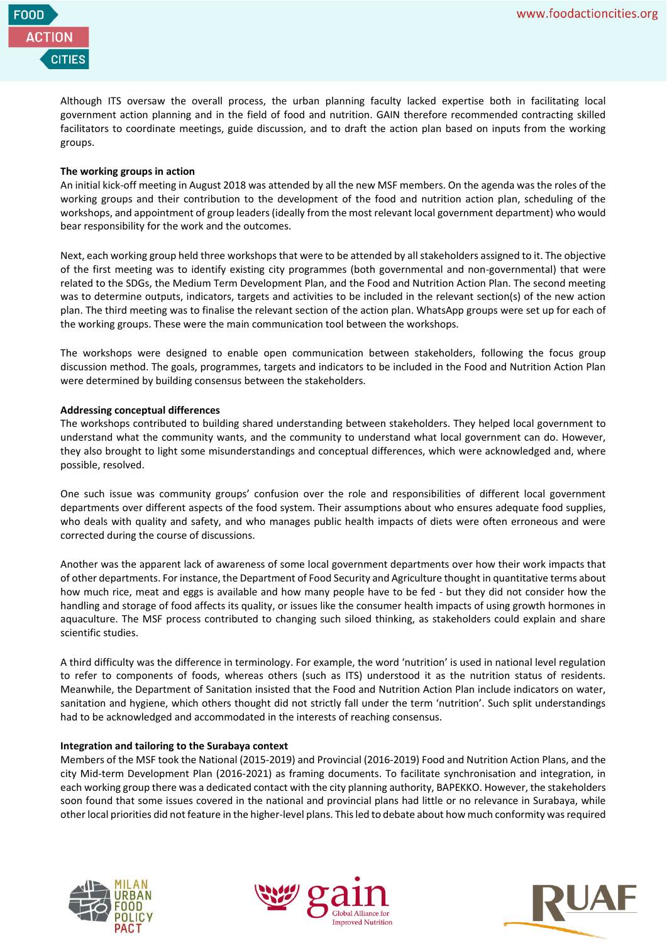

Although ITS oversaw the overall process, the urban planning faculty lacked expertise both in facilitating local government action planning and in the field of food and nutrition. GAIN therefore recommended contracting skilled facilitators to coordinate meetings, guide discussion, and to draft the action plan based on inputs from the working groups.

# **The working groups in action**

An initial kick-off meeting in August 2018 was attended by all the new MSF members. On the agenda was the roles of the working groups and their contribution to the development of the food and nutrition action plan, scheduling of the workshops, and appointment of group leaders (ideally from the most relevant local government department) who would bear responsibility for the work and the outcomes.

Next, each working group held three workshops that were to be attended by all stakeholders assigned to it. The objective of the first meeting was to identify existing city programmes (both governmental and non-governmental) that were related to the SDGs, the Medium Term Development Plan, and the Food and Nutrition Action Plan. The second meeting was to determine outputs, indicators, targets and activities to be included in the relevant section(s) of the new action plan. The third meeting was to finalise the relevant section of the action plan. WhatsApp groups were set up for each of the working groups. These were the main communication tool between the workshops.

The workshops were designed to enable open communication between stakeholders, following the focus group discussion method. The goals, programmes, targets and indicators to be included in the Food and Nutrition Action Plan were determined by building consensus between the stakeholders.

# **Addressing conceptual differences**

The workshops contributed to building shared understanding between stakeholders. They helped local government to understand what the community wants, and the community to understand what local government can do. However, they also brought to light some misunderstandings and conceptual differences, which were acknowledged and, where possible, resolved.

One such issue was community groups' confusion over the role and responsibilities of different local government departments over different aspects of the food system. Their assumptions about who ensures adequate food supplies, who deals with quality and safety, and who manages public health impacts of diets were often erroneous and were corrected during the course of discussions.

Another was the apparent lack of awareness of some local government departments over how their work impacts that of other departments. For instance, the Department of Food Security and Agriculture thought in quantitative terms about how much rice, meat and eggs is available and how many people have to be fed - but they did not consider how the handling and storage of food affects its quality, or issues like the consumer health impacts of using growth hormones in aquaculture. The MSF process contributed to changing such siloed thinking, as stakeholders could explain and share scientific studies.

A third difficulty was the difference in terminology. For example, the word 'nutrition' is used in national level regulation to refer to components of foods, whereas others (such as ITS) understood it as the nutrition status of residents. Meanwhile, the Department of Sanitation insisted that the Food and Nutrition Action Plan include indicators on water, sanitation and hygiene, which others thought did not strictly fall under the term 'nutrition'. Such split understandings had to be acknowledged and accommodated in the interests of reaching consensus.

# **Integration and tailoring to the Surabaya context**

Members of the MSF took the National (2015-2019) and Provincial (2016-2019) Food and Nutrition Action Plans, and the city Mid-term Development Plan (2016-2021) as framing documents. To facilitate synchronisation and integration, in each working group there was a dedicated contact with the city planning authority, BAPEKKO. However, the stakeholders soon found that some issues covered in the national and provincial plans had little or no relevance in Surabaya, while other local priorities did not feature in the higher-level plans. This led to debate about how much conformity was required





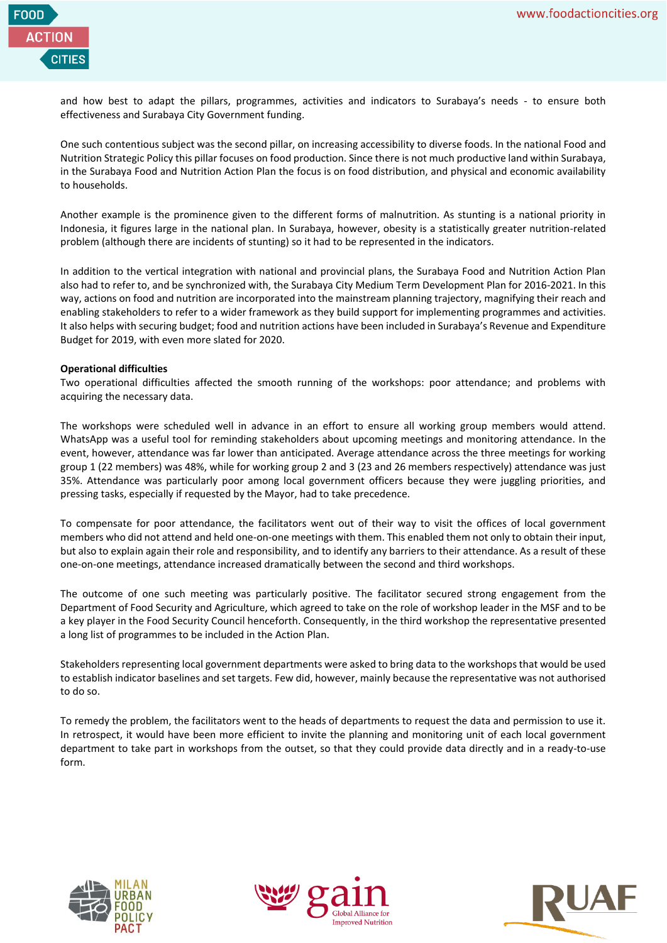

and how best to adapt the pillars, programmes, activities and indicators to Surabaya's needs - to ensure both effectiveness and Surabaya City Government funding.

One such contentious subject was the second pillar, on increasing accessibility to diverse foods. In the national Food and Nutrition Strategic Policy this pillar focuses on food production. Since there is not much productive land within Surabaya, in the Surabaya Food and Nutrition Action Plan the focus is on food distribution, and physical and economic availability to households.

Another example is the prominence given to the different forms of malnutrition. As stunting is a national priority in Indonesia, it figures large in the national plan. In Surabaya, however, obesity is a statistically greater nutrition-related problem (although there are incidents of stunting) so it had to be represented in the indicators.

In addition to the vertical integration with national and provincial plans, the Surabaya Food and Nutrition Action Plan also had to refer to, and be synchronized with, the Surabaya City Medium Term Development Plan for 2016-2021. In this way, actions on food and nutrition are incorporated into the mainstream planning trajectory, magnifying their reach and enabling stakeholders to refer to a wider framework as they build support for implementing programmes and activities. It also helps with securing budget; food and nutrition actions have been included in Surabaya's Revenue and Expenditure Budget for 2019, with even more slated for 2020.

# **Operational difficulties**

Two operational difficulties affected the smooth running of the workshops: poor attendance; and problems with acquiring the necessary data.

The workshops were scheduled well in advance in an effort to ensure all working group members would attend. WhatsApp was a useful tool for reminding stakeholders about upcoming meetings and monitoring attendance. In the event, however, attendance was far lower than anticipated. Average attendance across the three meetings for working group 1 (22 members) was 48%, while for working group 2 and 3 (23 and 26 members respectively) attendance was just 35%. Attendance was particularly poor among local government officers because they were juggling priorities, and pressing tasks, especially if requested by the Mayor, had to take precedence.

To compensate for poor attendance, the facilitators went out of their way to visit the offices of local government members who did not attend and held one-on-one meetings with them. This enabled them not only to obtain their input, but also to explain again their role and responsibility, and to identify any barriers to their attendance. As a result of these one-on-one meetings, attendance increased dramatically between the second and third workshops.

The outcome of one such meeting was particularly positive. The facilitator secured strong engagement from the Department of Food Security and Agriculture, which agreed to take on the role of workshop leader in the MSF and to be a key player in the Food Security Council henceforth. Consequently, in the third workshop the representative presented a long list of programmes to be included in the Action Plan.

Stakeholders representing local government departments were asked to bring data to the workshops that would be used to establish indicator baselines and set targets. Few did, however, mainly because the representative was not authorised to do so.

To remedy the problem, the facilitators went to the heads of departments to request the data and permission to use it. In retrospect, it would have been more efficient to invite the planning and monitoring unit of each local government department to take part in workshops from the outset, so that they could provide data directly and in a ready-to-use form.





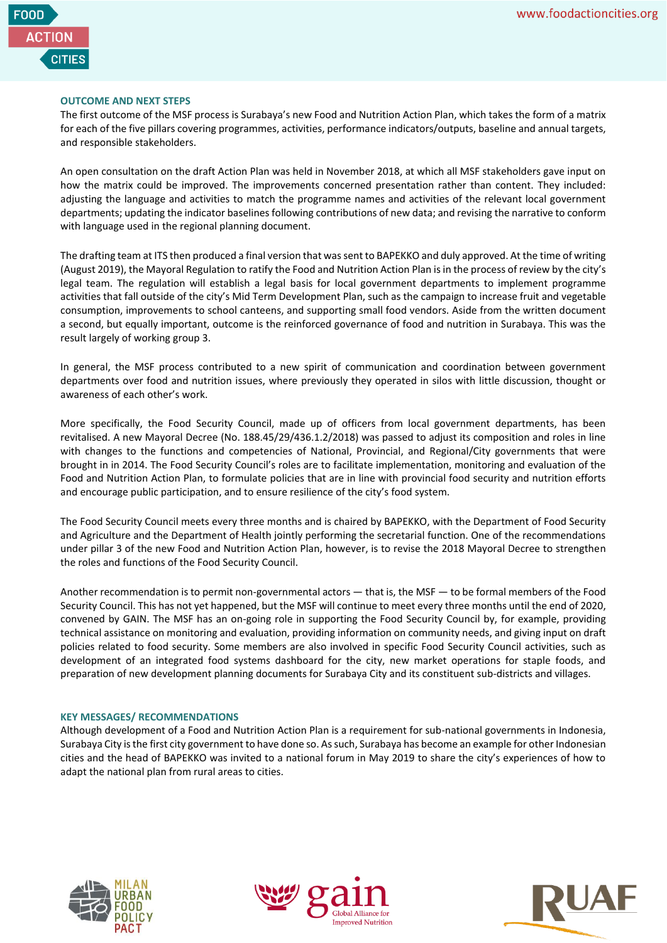

# **OUTCOME AND NEXT STEPS**

The first outcome of the MSF process is Surabaya's new Food and Nutrition Action Plan, which takes the form of a matrix for each of the five pillars covering programmes, activities, performance indicators/outputs, baseline and annual targets, and responsible stakeholders.

An open consultation on the draft Action Plan was held in November 2018, at which all MSF stakeholders gave input on how the matrix could be improved. The improvements concerned presentation rather than content. They included: adjusting the language and activities to match the programme names and activities of the relevant local government departments; updating the indicator baselines following contributions of new data; and revising the narrative to conform with language used in the regional planning document.

The drafting team at ITS then produced a final version that was sent to BAPEKKO and duly approved. At the time of writing (August 2019), the Mayoral Regulation to ratify the Food and Nutrition Action Plan is in the process of review by the city's legal team. The regulation will establish a legal basis for local government departments to implement programme activities that fall outside of the city's Mid Term Development Plan, such as the campaign to increase fruit and vegetable consumption, improvements to school canteens, and supporting small food vendors. Aside from the written document a second, but equally important, outcome is the reinforced governance of food and nutrition in Surabaya. This was the result largely of working group 3.

In general, the MSF process contributed to a new spirit of communication and coordination between government departments over food and nutrition issues, where previously they operated in silos with little discussion, thought or awareness of each other's work.

More specifically, the Food Security Council, made up of officers from local government departments, has been revitalised. A new Mayoral Decree (No. 188.45/29/436.1.2/2018) was passed to adjust its composition and roles in line with changes to the functions and competencies of National, Provincial, and Regional/City governments that were brought in in 2014. The Food Security Council's roles are to facilitate implementation, monitoring and evaluation of the Food and Nutrition Action Plan, to formulate policies that are in line with provincial food security and nutrition efforts and encourage public participation, and to ensure resilience of the city's food system.

The Food Security Council meets every three months and is chaired by BAPEKKO, with the Department of Food Security and Agriculture and the Department of Health jointly performing the secretarial function. One of the recommendations under pillar 3 of the new Food and Nutrition Action Plan, however, is to revise the 2018 Mayoral Decree to strengthen the roles and functions of the Food Security Council.

Another recommendation is to permit non-governmental actors — that is, the MSF — to be formal members of the Food Security Council. This has not yet happened, but the MSF will continue to meet every three months until the end of 2020, convened by GAIN. The MSF has an on-going role in supporting the Food Security Council by, for example, providing technical assistance on monitoring and evaluation, providing information on community needs, and giving input on draft policies related to food security. Some members are also involved in specific Food Security Council activities, such as development of an integrated food systems dashboard for the city, new market operations for staple foods, and preparation of new development planning documents for Surabaya City and its constituent sub-districts and villages.

# **KEY MESSAGES/ RECOMMENDATIONS**

Although development of a Food and Nutrition Action Plan is a requirement for sub-national governments in Indonesia, Surabaya City is the first city government to have done so. As such, Surabaya has become an example for other Indonesian cities and the head of BAPEKKO was invited to a national forum in May 2019 to share the city's experiences of how to adapt the national plan from rural areas to cities.